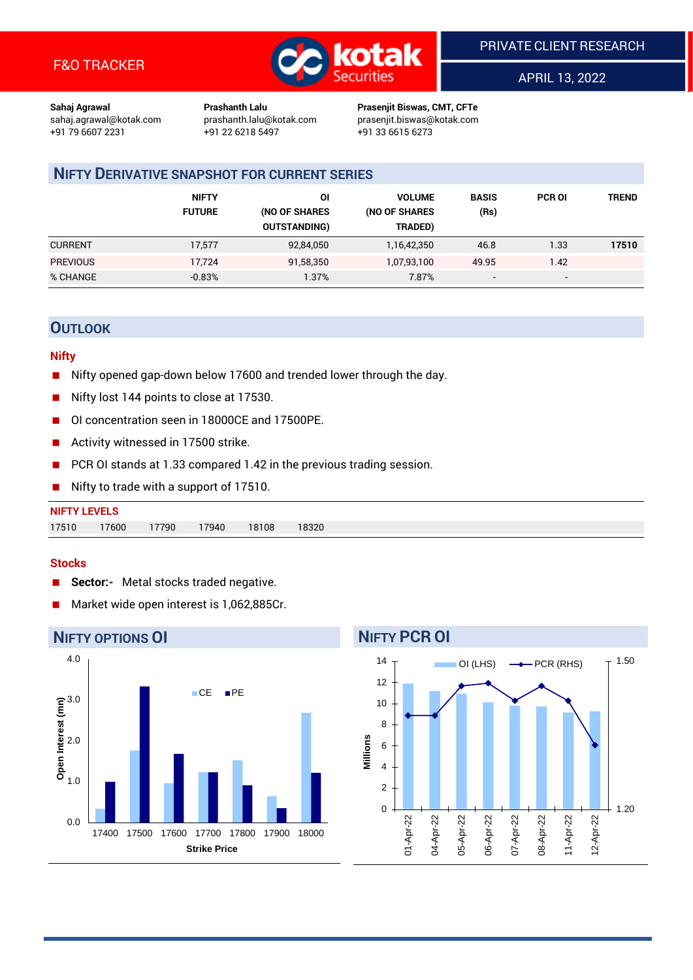

APRIL 13, 2022

1.20

1.50

**Sahaj Agrawal Prashanth Lalu Prasenjit Biswas, CMT, CFTe** +91 22 6218 5497 +91 33 6615 6273

sahaj.agrawal@kotak.com [prashanth.lalu@kotak.com](mailto:prashanth.lalu@kotak.com) prasenjit.biswas@kotak.com

## **NIFTY DERIVATIVE SNAPSHOT FOR CURRENT SERIES**

|                 | <b>NIFTY</b><br><b>FUTURE</b> | ΟI<br>(NO OF SHARES<br><b>OUTSTANDING)</b> | <b>VOLUME</b><br>(NO OF SHARES<br>TRADED) | <b>BASIS</b><br>(Rs)     | <b>PCR OI</b> | TREND |
|-----------------|-------------------------------|--------------------------------------------|-------------------------------------------|--------------------------|---------------|-------|
| <b>CURRENT</b>  | 17.577                        | 92,84,050                                  | 1,16,42,350                               | 46.8                     | 1.33          | 17510 |
| <b>PREVIOUS</b> | 17.724                        | 91,58,350                                  | 1,07,93,100                               | 49.95                    | 1.42          |       |
| % CHANGE        | $-0.83%$                      | 1.37%                                      | 7.87%                                     | $\overline{\phantom{a}}$ | -             |       |

## **OUTLOOK**

#### **Nifty**

- Nifty opened gap-down below 17600 and trended lower through the day.
- Nifty lost 144 points to close at 17530.
- OI concentration seen in 18000CE and 17500PE.
- Activity witnessed in 17500 strike.
- PCR OI stands at 1.33 compared 1.42 in the previous trading session.
- Nifty to trade with a support of 17510.

| <b>NIFTY LEVELS</b> |       |       |       |       |       |
|---------------------|-------|-------|-------|-------|-------|
| 17510               | 17600 | 17790 | 17940 | 18108 | 18320 |

#### **Stocks**

- **Sector:-** Metal stocks traded negative.
- Market wide open interest is 1,062,885Cr.

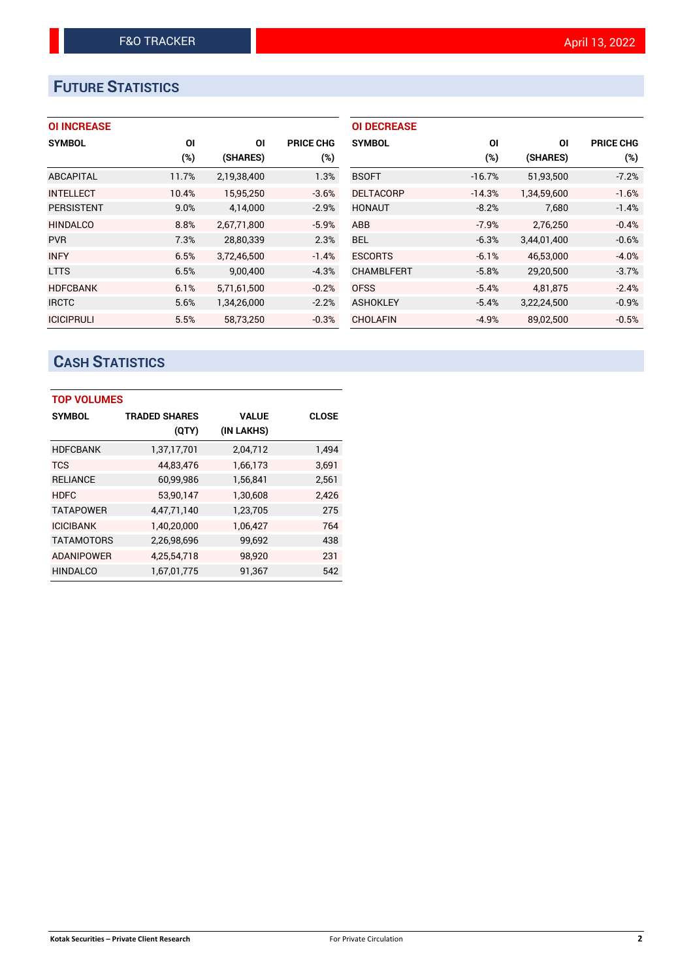# **FUTURE STATISTICS**

| <b>OI INCREASE</b> |
|--------------------|
|--------------------|

| <b>SYMBOL</b>     | ΟI    | ΟI          | <b>PRICE CHG</b> |
|-------------------|-------|-------------|------------------|
|                   | (%)   | (SHARES)    | $(\%)$           |
| ABCAPITAL         | 11.7% | 2,19,38,400 | 1.3%             |
| <b>INTELLECT</b>  | 10.4% | 15,95,250   | $-3.6%$          |
| <b>PERSISTENT</b> | 9.0%  | 4,14,000    | $-2.9%$          |
| <b>HINDALCO</b>   | 8.8%  | 2,67,71,800 | $-5.9%$          |
| <b>PVR</b>        | 7.3%  | 28,80,339   | 2.3%             |
| <b>INFY</b>       | 6.5%  | 3.72.46.500 | $-1.4%$          |
| <b>LTTS</b>       | 6.5%  | 9,00,400    | $-4.3%$          |
| <b>HDFCBANK</b>   | 6.1%  | 5,71,61,500 | $-0.2%$          |
| <b>IRCTC</b>      | 5.6%  | 1,34,26,000 | $-2.2%$          |
| <b>ICICIPRULI</b> | 5.5%  | 58.73.250   | $-0.3%$          |

| <b>OI DECREASE</b> |          |             |                  |
|--------------------|----------|-------------|------------------|
| <b>SYMBOL</b>      | ΟI       | ΟI          | <b>PRICE CHG</b> |
|                    | (%)      | (SHARES)    | $(\%)$           |
| <b>BSOFT</b>       | $-16.7%$ | 51,93,500   | $-7.2%$          |
| <b>DELTACORP</b>   | $-14.3%$ | 1,34,59,600 | $-1.6%$          |
| <b>HONAUT</b>      | $-8.2%$  | 7,680       | $-1.4%$          |
| <b>ABB</b>         | $-7.9%$  | 2.76.250    | $-0.4%$          |
| <b>BEL</b>         | $-6.3%$  | 3,44,01,400 | $-0.6%$          |
| <b>ESCORTS</b>     | $-6.1%$  | 46,53,000   | $-4.0%$          |
| <b>CHAMBLFERT</b>  | $-5.8%$  | 29,20,500   | $-3.7%$          |
| <b>OFSS</b>        | $-5.4%$  | 4,81,875    | $-2.4%$          |
| <b>ASHOKLEY</b>    | $-5.4%$  | 3,22,24,500 | $-0.9%$          |
| CHOLAFIN           | $-4.9%$  | 89.02.500   | $-0.5%$          |

## **CASH STATISTICS**

| <b>TOP VOLUMES</b> |                      |              |       |
|--------------------|----------------------|--------------|-------|
| <b>SYMBOL</b>      | <b>TRADED SHARES</b> | <b>VALUE</b> | CLOSE |
|                    | (QTY)                | (IN LAKHS)   |       |
| <b>HDFCBANK</b>    | 1,37,17,701          | 2,04,712     | 1,494 |
| <b>TCS</b>         | 44,83,476            | 1,66,173     | 3,691 |
| <b>RELIANCE</b>    | 60,99,986            | 1,56,841     | 2,561 |
| <b>HDFC</b>        | 53,90,147            | 1,30,608     | 2,426 |
| <b>TATAPOWER</b>   | 4,47,71,140          | 1,23,705     | 275   |
| <b>ICICIBANK</b>   | 1,40,20,000          | 1,06,427     | 764   |
| <b>TATAMOTORS</b>  | 2,26,98,696          | 99,692       | 438   |
| <b>ADANIPOWER</b>  | 4,25,54,718          | 98,920       | 231   |
| <b>HINDALCO</b>    | 1,67,01,775          | 91,367       | 542   |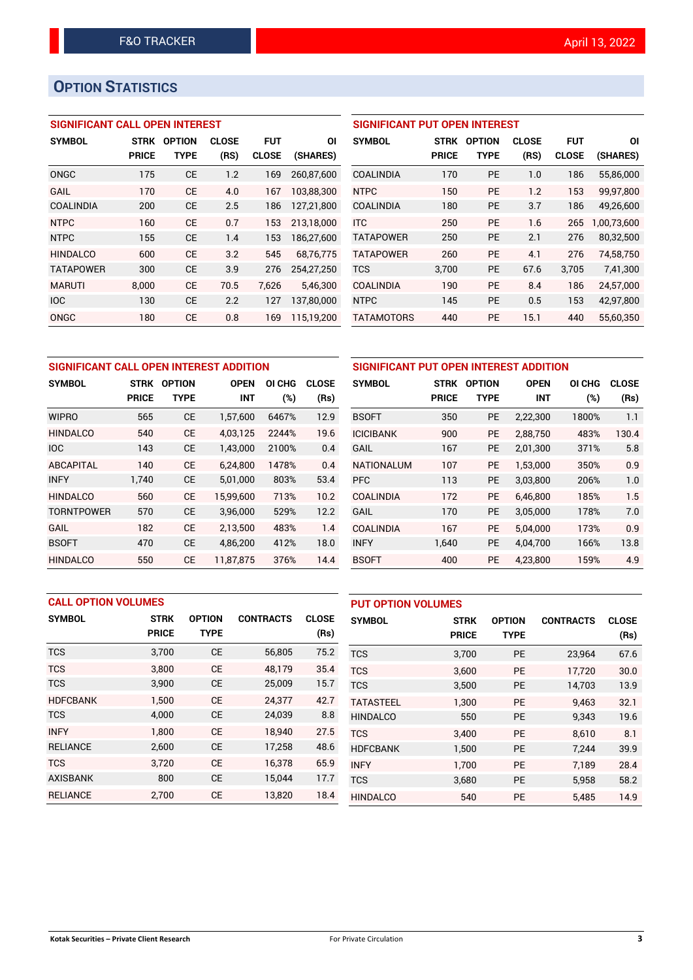# **OPTION STATISTICS**

#### **SIGNIFICANT CALL OPEN INTEREST**

| <b>SYMBOL</b>    | STRK         | <b>OPTION</b> | <b>CLOSE</b> | <b>FUT</b>   | ΟI         |
|------------------|--------------|---------------|--------------|--------------|------------|
|                  | <b>PRICE</b> | TYPE          | (RS)         | <b>CLOSE</b> | (SHARES)   |
| ONGC             | 175          | <b>CE</b>     | 1.2          | 169          | 260.87.600 |
| GAIL             | 170          | CF            | 4.0          | 167          | 103,88,300 |
| COALINDIA        | 200          | CE            | 2.5          | 186          | 127,21,800 |
| <b>NTPC</b>      | 160          | CE            | 0.7          | 153          | 213,18,000 |
| <b>NTPC</b>      | 155          | СE            | 1.4          | 153          | 186,27,600 |
| <b>HINDALCO</b>  | 600          | CE            | 3.2          | 545          | 68,76,775  |
| <b>TATAPOWER</b> | 300          | СE            | 3.9          | 276          | 254,27,250 |
| <b>MARUTI</b>    | 8,000        | CE            | 70.5         | 7,626        | 5,46,300   |
| <b>IOC</b>       | 130          | CE            | 2.2          | 127          | 137,80,000 |
| ONGC             | 180          | СE            | 0.8          | 169          | 115.19.200 |

| <b>SIGNIFICANT PUT OPEN INTEREST</b> |              |               |              |              |             |  |  |  |  |  |
|--------------------------------------|--------------|---------------|--------------|--------------|-------------|--|--|--|--|--|
| <b>SYMBOL</b>                        | <b>STRK</b>  | <b>OPTION</b> | <b>CLOSE</b> | <b>FUT</b>   | ΟI          |  |  |  |  |  |
|                                      | <b>PRICE</b> | TYPE          | (RS)         | <b>CLOSE</b> | (SHARES)    |  |  |  |  |  |
| <b>COALINDIA</b>                     | 170          | <b>PE</b>     | 1.0          | 186          | 55,86,000   |  |  |  |  |  |
| <b>NTPC</b>                          | 150          | <b>PE</b>     | 1.2          | 153          | 99,97,800   |  |  |  |  |  |
| <b>COALINDIA</b>                     | 180          | <b>PE</b>     | 3.7          | 186          | 49,26,600   |  |  |  |  |  |
| <b>ITC</b>                           | 250          | <b>PE</b>     | 1.6          | 265          | 1,00,73,600 |  |  |  |  |  |
| <b>TATAPOWER</b>                     | 250          | <b>PE</b>     | 2.1          | 276          | 80,32,500   |  |  |  |  |  |
| <b>TATAPOWER</b>                     | 260          | <b>PE</b>     | 4.1          | 276          | 74,58,750   |  |  |  |  |  |
| <b>TCS</b>                           | 3,700        | <b>PE</b>     | 67.6         | 3,705        | 7,41,300    |  |  |  |  |  |
| <b>COALINDIA</b>                     | 190          | <b>PE</b>     | 8.4          | 186          | 24,57,000   |  |  |  |  |  |
| <b>NTPC</b>                          | 145          | <b>PE</b>     | 0.5          | 153          | 42,97,800   |  |  |  |  |  |
| <b>TATAMOTORS</b>                    | 440          | <b>PE</b>     | 15.1         | 440          | 55.60.350   |  |  |  |  |  |

| SIGNIFICANT CALL OPEN INTEREST ADDITION |              |               |             |        |              | <b>SIGNIFI</b>  |
|-----------------------------------------|--------------|---------------|-------------|--------|--------------|-----------------|
| <b>SYMBOL</b>                           | STRK         | <b>OPTION</b> | <b>OPEN</b> | OI CHG | <b>CLOSE</b> | <b>SYMBOL</b>   |
|                                         | <b>PRICE</b> | TYPE          | <b>INT</b>  | (%)    | (Rs)         |                 |
| <b>WIPRO</b>                            | 565          | <b>CE</b>     | 1,57,600    | 6467%  | 12.9         | <b>BSOFT</b>    |
| <b>HINDALCO</b>                         | 540          | <b>CE</b>     | 4,03,125    | 2244%  | 19.6         | <b>ICICIBAN</b> |
| <b>IOC</b>                              | 143          | <b>CE</b>     | 1,43,000    | 2100%  | 0.4          | <b>GAIL</b>     |
| <b>ABCAPITAL</b>                        | 140          | <b>CE</b>     | 6,24,800    | 1478%  | 0.4          | <b>NATIONA</b>  |
| <b>INFY</b>                             | 1,740        | <b>CE</b>     | 5,01,000    | 803%   | 53.4         | <b>PFC</b>      |
| <b>HINDALCO</b>                         | 560          | <b>CE</b>     | 15,99,600   | 713%   | 10.2         | <b>COALIND</b>  |
| <b>TORNTPOWER</b>                       | 570          | <b>CE</b>     | 3,96,000    | 529%   | 12.2         | <b>GAIL</b>     |
| GAIL                                    | 182          | <b>CE</b>     | 2,13,500    | 483%   | 1.4          | <b>COALIND</b>  |
| <b>BSOFT</b>                            | 470          | <b>CE</b>     | 4,86,200    | 412%   | 18.0         | <b>INFY</b>     |
| <b>HINDALCO</b>                         | 550          | <b>CE</b>     | 11.87.875   | 376%   | 14.4         | <b>BSOFT</b>    |

| SIGNIFICANT PUT OPEN INTEREST ADDITION |              |               |             |        |              |  |  |  |  |
|----------------------------------------|--------------|---------------|-------------|--------|--------------|--|--|--|--|
| <b>SYMBOL</b>                          | <b>STRK</b>  | <b>OPTION</b> | <b>OPEN</b> | OI CHG | <b>CLOSE</b> |  |  |  |  |
|                                        | <b>PRICE</b> | <b>TYPE</b>   | <b>INT</b>  | (%)    | (Rs)         |  |  |  |  |
| <b>BSOFT</b>                           | 350          | <b>PE</b>     | 2,22,300    | 1800%  | 1.1          |  |  |  |  |
| <b>ICICIBANK</b>                       | 900          | <b>PE</b>     | 2,88,750    | 483%   | 130.4        |  |  |  |  |
| GAIL                                   | 167          | <b>PE</b>     | 2,01,300    | 371%   | 5.8          |  |  |  |  |
| <b>NATIONALUM</b>                      | 107          | <b>PE</b>     | 1,53,000    | 350%   | 0.9          |  |  |  |  |
| <b>PFC</b>                             | 113          | <b>PE</b>     | 3,03,800    | 206%   | 1.0          |  |  |  |  |
| COALINDIA                              | 172          | <b>PE</b>     | 6,46,800    | 185%   | 1.5          |  |  |  |  |
| GAIL                                   | 170          | <b>PE</b>     | 3,05,000    | 178%   | 7.0          |  |  |  |  |
| COALINDIA                              | 167          | <b>PE</b>     | 5,04,000    | 173%   | 0.9          |  |  |  |  |
| <b>INFY</b>                            | 1,640        | <b>PE</b>     | 4,04,700    | 166%   | 13.8         |  |  |  |  |
| <b>BSOFT</b>                           | 400          | <b>PE</b>     | 4,23,800    | 159%   | 4.9          |  |  |  |  |

|                 | <b>CALL OPTION VOLUMES</b> |               |                  |              |                  | <b>PUT OPTION VOLUMES</b> |               |                  |              |  |
|-----------------|----------------------------|---------------|------------------|--------------|------------------|---------------------------|---------------|------------------|--------------|--|
| <b>SYMBOL</b>   | <b>STRK</b>                | <b>OPTION</b> | <b>CONTRACTS</b> | <b>CLOSE</b> | <b>SYMBOL</b>    | <b>STRK</b>               | <b>OPTION</b> | <b>CONTRACTS</b> | <b>CLOSE</b> |  |
|                 | <b>PRICE</b>               | <b>TYPE</b>   |                  | (Rs)         |                  | <b>PRICE</b>              | <b>TYPE</b>   |                  | (Rs)         |  |
| <b>TCS</b>      | 3,700                      | <b>CE</b>     | 56,805           | 75.2         | <b>TCS</b>       | 3,700                     | <b>PE</b>     | 23,964           | 67.6         |  |
| <b>TCS</b>      | 3.800                      | <b>CE</b>     | 48.179           | 35.4         | <b>TCS</b>       | 3,600                     | <b>PE</b>     | 17.720           | 30.0         |  |
| <b>TCS</b>      | 3,900                      | <b>CE</b>     | 25,009           | 15.7         | <b>TCS</b>       | 3,500                     | <b>PE</b>     | 14,703           | 13.9         |  |
| <b>HDFCBANK</b> | 1.500                      | <b>CE</b>     | 24,377           | 42.7         | <b>TATASTEEL</b> | 1,300                     | <b>PE</b>     | 9.463            | 32.1         |  |
| <b>TCS</b>      | 4,000                      | <b>CE</b>     | 24,039           | 8.8          | <b>HINDALCO</b>  | 550                       | <b>PE</b>     | 9,343            | 19.6         |  |
| <b>INFY</b>     | 1.800                      | <b>CE</b>     | 18,940           | 27.5         | <b>TCS</b>       | 3,400                     | <b>PE</b>     | 8.610            | 8.1          |  |
| <b>RELIANCE</b> | 2,600                      | <b>CE</b>     | 17,258           | 48.6         | <b>HDFCBANK</b>  | 1,500                     | <b>PE</b>     | 7,244            | 39.9         |  |
| <b>TCS</b>      | 3.720                      | <b>CE</b>     | 16.378           | 65.9         | <b>INFY</b>      | 1.700                     | <b>PE</b>     | 7.189            | 28.4         |  |
| <b>AXISBANK</b> | 800                        | <b>CE</b>     | 15,044           | 17.7         | <b>TCS</b>       | 3,680                     | <b>PE</b>     | 5,958            | 58.2         |  |
| <b>RELIANCE</b> | 2.700                      | <b>CE</b>     | 13,820           | 18.4         | <b>HINDALCO</b>  | 540                       | PE            | 5,485            | 14.9         |  |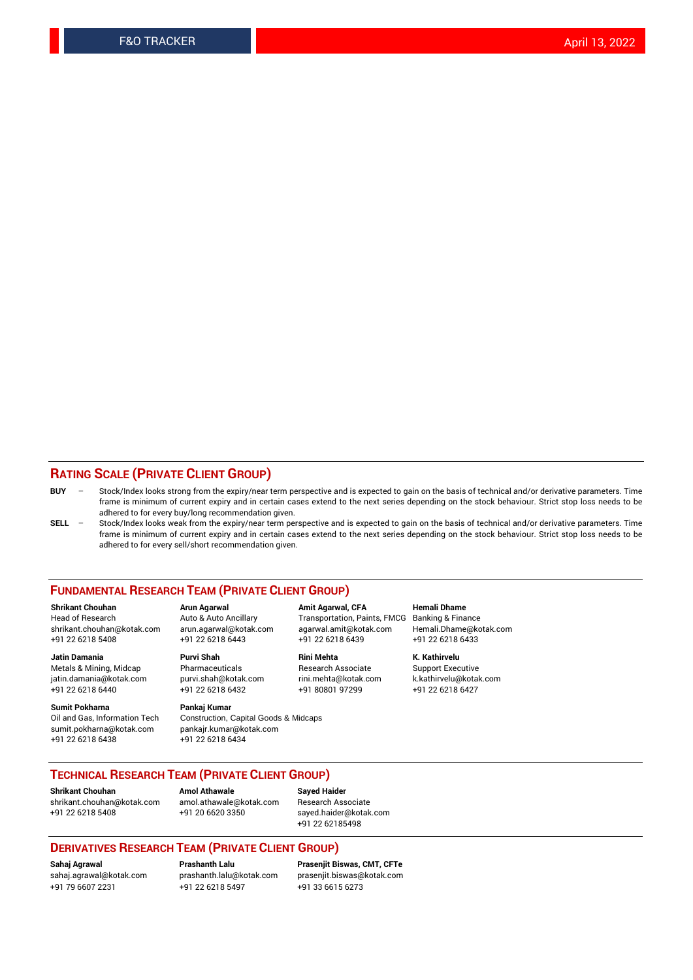#### **RATING SCALE (PRIVATE CLIENT GROUP)**

- **BUY**  Stock/Index looks strong from the expiry/near term perspective and is expected to gain on the basis of technical and/or derivative parameters. Time frame is minimum of current expiry and in certain cases extend to the next series depending on the stock behaviour. Strict stop loss needs to be adhered to for every buy/long recommendation given.
- **SELL** Stock/Index looks weak from the expiry/near term perspective and is expected to gain on the basis of technical and/or derivative parameters. Time frame is minimum of current expiry and in certain cases extend to the next series depending on the stock behaviour. Strict stop loss needs to be adhered to for every sell/short recommendation given.

#### **FUNDAMENTAL RESEARCH TEAM (PRIVATE CLIENT GROUP)**

**Shrikant Chouhan Arun Agarwal Amit Agarwal, CFA Hemali Dhame** shrikant.chouhan@kotak.com arun.agarwal@kotak.com agarwal.amit@kotak.com Hemali.Dhame@kotak.com +91 22 6218 5408 +91 22 6218 6443 +91 22 6218 6439 +91 22 6218 6433

Metals & Mining, Midcap Pharmaceuticals Pharmaceuticals Research Associate Support Executive<br>
iatin.damania@kotak.com purvi.shah@kotak.com rini.mehta@kotak.com k.kathirvelu@kotak.com jatin.damania@kotak.com

**Sumit Pokharna** Pankaj Kumar<br>Oil and Gas, Information Tech Construction, sumit.pokharna@kotak.com pankajr.kumar@kotak.com +91 22 6218 6438 +91 22 6218 6434

# **Jatin Damania Purvi Shah Rini Mehta K. Kathirvelu**

Construction, Capital Goods & Midcaps

Transportation, Paints, FMCG

+91 22 6218 6440 +91 22 6218 6432 +91 80801 97299 +91 22 6218 6427

#### **TECHNICAL RESEARCH TEAM (PRIVATE CLIENT GROUP)**

**Shrikant Chouhan Amol Athawale Sayed Haider** [shrikant.chouhan@kotak.com](mailto:shrikant.chouhan@kotak.com) [amol.athawale@kotak.com](mailto:amol.athawale@kotak.com) Research Associate

+91 22 6218 5408 +91 20 6620 3350 [sayed.haider@kotak.com](mailto:sayed.haider@kotak.com) +91 22 62185498

#### **DERIVATIVES RESEARCH TEAM (PRIVATE CLIENT GROUP)**

+91 79 6607 2231 +91 22 6218 5497 +91 33 6615 6273

**Sahaj Agrawal Prashanth Lalu Prasenjit Biswas, CMT, CFTe** [prasenjit.biswas@kotak.com](mailto:prasenjit.biswas@kotak.com)